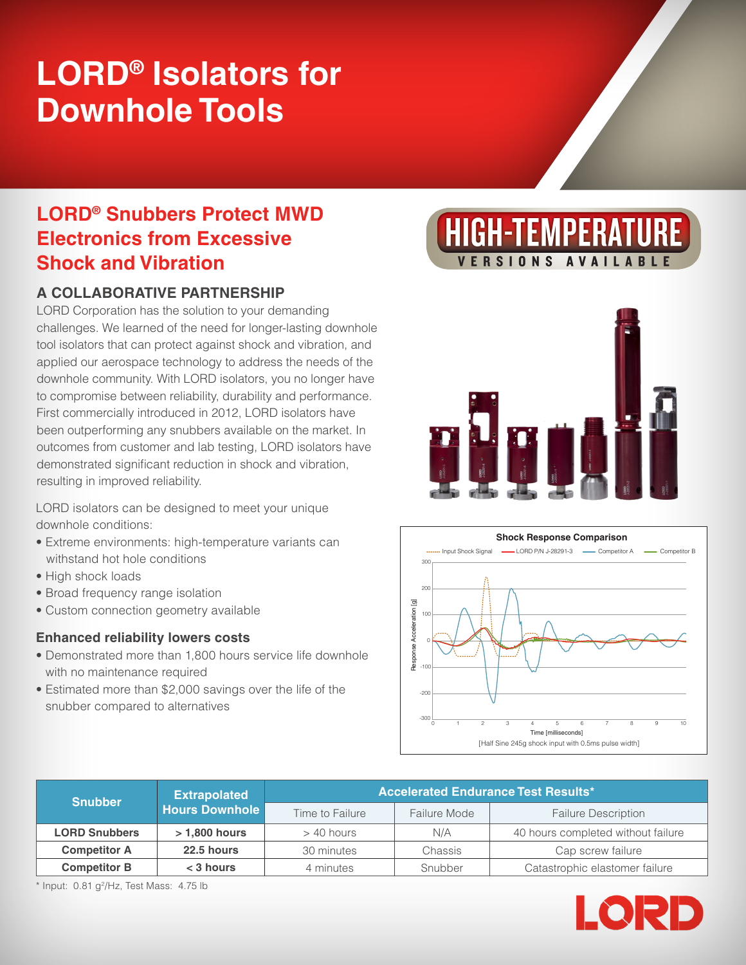# **LORD® Isolators for Downhole Tools**

# **LORD® Snubbers Protect MWD Electronics from Excessive Shock and Vibration**

## **A COLLABORATIVE PARTNERSHIP**

LORD Corporation has the solution to your demanding challenges. We learned of the need for longer-lasting downhole tool isolators that can protect against shock and vibration, and applied our aerospace technology to address the needs of the downhole community. With LORD isolators, you no longer have to compromise between reliability, durability and performance. First commercially introduced in 2012, LORD isolators have been outperforming any snubbers available on the market. In outcomes from customer and lab testing, LORD isolators have demonstrated significant reduction in shock and vibration, resulting in improved reliability.

LORD isolators can be designed to meet your unique downhole conditions:

- Extreme environments: high-temperature variants can withstand hot hole conditions
- High shock loads
- Broad frequency range isolation
- Custom connection geometry available

### **Enhanced reliability lowers costs**

- Demonstrated more than 1,800 hours service life downhole with no maintenance required
- Estimated more than \$2,000 savings over the life of the snubber compared to alternatives







| <b>Snubber</b>       | <b>Extrapolated</b><br><b>Hours Downhole</b> | <b>Accelerated Endurance Test Results*</b> |              |                                    |  |
|----------------------|----------------------------------------------|--------------------------------------------|--------------|------------------------------------|--|
|                      |                                              | Time to Failure                            | Failure Mode | <b>Failure Description</b>         |  |
| <b>LORD Snubbers</b> | $>1,800$ hours                               | $>$ 40 hours                               | N/A          | 40 hours completed without failure |  |
| <b>Competitor A</b>  | 22.5 hours                                   | 30 minutes                                 | Chassis      | Cap screw failure                  |  |
| <b>Competitor B</b>  | $<$ 3 hours                                  | 4 minutes                                  | Snubber      | Catastrophic elastomer failure     |  |

 $*$  Input: 0.81 g<sup>2</sup>/Hz, Test Mass: 4.75 lb